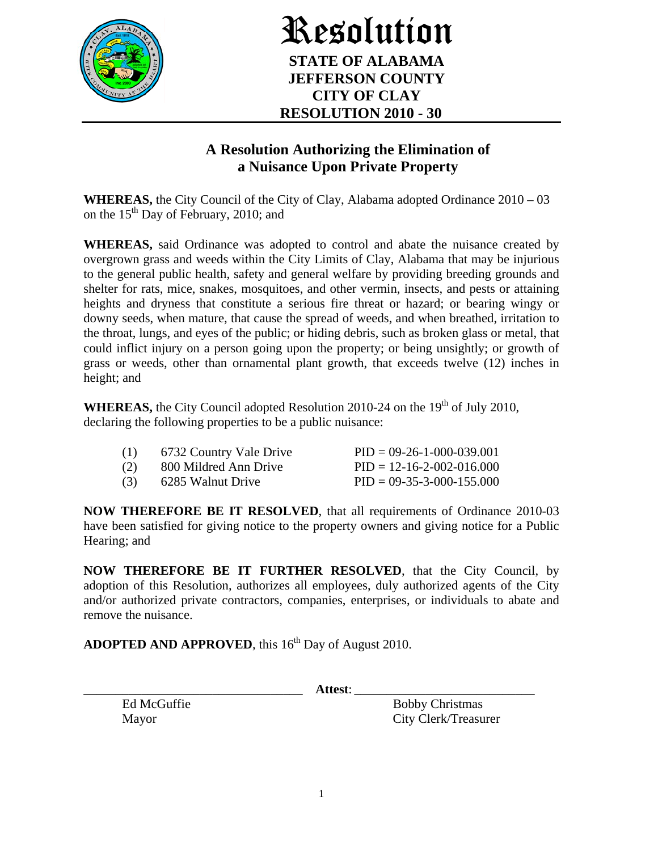

Resolution **STATE OF ALABAMA JEFFERSON COUNTY CITY OF CLAY RESOLUTION 2010 - 30** 

## **A Resolution Authorizing the Elimination of a Nuisance Upon Private Property**

**WHEREAS,** the City Council of the City of Clay, Alabama adopted Ordinance 2010 – 03 on the  $15<sup>th</sup>$  Day of February, 2010; and

**WHEREAS,** said Ordinance was adopted to control and abate the nuisance created by overgrown grass and weeds within the City Limits of Clay, Alabama that may be injurious to the general public health, safety and general welfare by providing breeding grounds and shelter for rats, mice, snakes, mosquitoes, and other vermin, insects, and pests or attaining heights and dryness that constitute a serious fire threat or hazard; or bearing wingy or downy seeds, when mature, that cause the spread of weeds, and when breathed, irritation to the throat, lungs, and eyes of the public; or hiding debris, such as broken glass or metal, that could inflict injury on a person going upon the property; or being unsightly; or growth of grass or weeds, other than ornamental plant growth, that exceeds twelve (12) inches in height; and

**WHEREAS,** the City Council adopted Resolution 2010-24 on the  $19<sup>th</sup>$  of July 2010, declaring the following properties to be a public nuisance:

|     | 6732 Country Vale Drive | $PID = 09-26-1-000-039.001$         |
|-----|-------------------------|-------------------------------------|
| (2) | 800 Mildred Ann Drive   | $PID = 12 - 16 - 2 - 002 - 016,000$ |
| (3) | 6285 Walnut Drive       | $PID = 09-35-3-000-155.000$         |

**NOW THEREFORE BE IT RESOLVED**, that all requirements of Ordinance 2010-03 have been satisfied for giving notice to the property owners and giving notice for a Public Hearing; and

**NOW THEREFORE BE IT FURTHER RESOLVED**, that the City Council, by adoption of this Resolution, authorizes all employees, duly authorized agents of the City and/or authorized private contractors, companies, enterprises, or individuals to abate and remove the nuisance.

**ADOPTED AND APPROVED**, this 16<sup>th</sup> Day of August 2010.

\_\_\_\_\_\_\_\_\_\_\_\_\_\_\_\_\_\_\_\_\_\_\_\_\_\_\_\_\_\_\_\_\_\_ **Attest**: \_\_\_\_\_\_\_\_\_\_\_\_\_\_\_\_\_\_\_\_\_\_\_\_\_\_\_\_

Ed McGuffie Bobby Christmas Mayor City Clerk/Treasurer